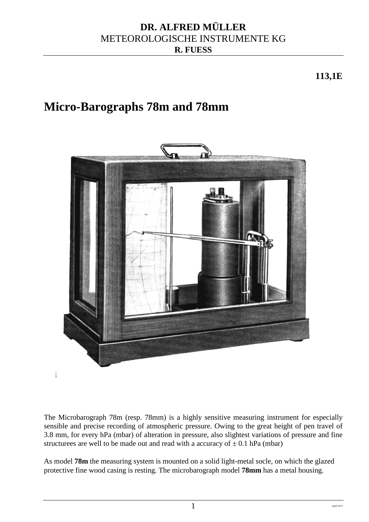## **DR. ALFRED MÜLLER** METEOROLOGISCHE INSTRUMENTE KG **R. FUESS**

**113,1E**

# **Micro-Barographs 78m and 78mm**



The Microbarograph 78m (resp. 78mm) is a highly sensitive measuring instrument for especially sensible and precise recording of atmospheric pressure. Owing to the great height of pen travel of 3.8 mm, for every hPa (mbar) of alteration in pressure, also slightest variations of pressure and fine structure are well to be made out and read with a accuracy of  $\pm$  0.1 hPa (mbar)

As model **78m** the measuring system is mounted on a solid light-metal socle, on which the glazed protective fine wood casing is resting. The microbarograph model **78mm** has a metal housing.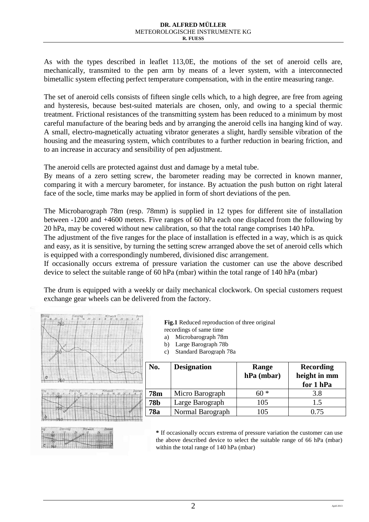As with the types described in leaflet 113,0E, the motions of the set of aneroid cells are, mechanically, transmited to the pen arm by means of a lever system, with a interconnected bimetallic system effecting perfect temperature compensation, with in the entire measuring range.

The set of aneroid cells consists of fifteen single cells which, to a high degree, are free from ageing and hysteresis, because best-suited materials are chosen, only, and owing to a special thermic treatment. Frictional resistances of the transmitting system has been reduced to a minimum by most careful manufacture of the bearing beds and by arranging the aneroid cells ina hanging kind of way. A small, electro-magnetically actuating vibrator generates a slight, hardly sensible vibration of the housing and the measuring system, which contributes to a further reduction in bearing friction, and to an increase in accuracy and sensibility of pen adjustment.

The aneroid cells are protected against dust and damage by a metal tube.

By means of a zero setting screw, the barometer reading may be corrected in known manner, comparing it with a mercury barometer, for instance. By actuation the push button on right lateral face of the socle, time marks may be applied in form of short deviations of the pen.

The Microbarograph 78m (resp. 78mm) is supplied in 12 types for different site of installation between -1200 and +4600 meters. Five ranges of 60 hPa each one displaced from the following by 20 hPa, may be covered without new calibration, so that the total range comprises 140 hPa.

The adjustment of the five ranges for the place of installation is effected in a way, which is as quick and easy, as it is sensitive, by turning the setting screw arranged above the set of aneroid cells which is equipped with a correspondingly numbered, divisioned disc arrangement.

If occasionally occurs extrema of pressure variation the customer can use the above described device to select the suitable range of 60 hPa (mbar) within the total range of 140 hPa (mbar)

The drum is equipped with a weekly or daily mechanical clockwork. On special customers request exchange gear wheels can be delivered from the factory.

| ntaa |                                    | Mittwach<br>$12 \t16 \t20 \t24$ | Jonn<br>$\overline{g}$ |
|------|------------------------------------|---------------------------------|------------------------|
|      | $\frac{Dienstag}{12}$ 16 20 24 4 8 |                                 |                        |
|      |                                    |                                 |                        |
|      |                                    |                                 |                        |
|      |                                    |                                 |                        |
|      |                                    |                                 |                        |
|      |                                    |                                 |                        |
|      |                                    |                                 |                        |
|      |                                    |                                 |                        |
|      |                                    |                                 |                        |
|      |                                    |                                 |                        |
|      |                                    |                                 |                        |





**Fig.1** Reduced reproduction of three original recordings of same time

- a) Microbarograph 78m
- b) Large Barograph 78b
- c) Standard Barograph 78a

|   | No.                           | <b>Designation</b> | Range<br>hPa (mbar) | <b>Recording</b><br>height in mm<br>for 1 hPa |
|---|-------------------------------|--------------------|---------------------|-----------------------------------------------|
| n | <b>78m</b>                    | Micro Barograph    | $60 *$              | 3.8                                           |
|   | <b>78b</b><br>Large Barograph |                    | 105                 | 1.5                                           |
|   | 78a                           | Normal Barograph   | 105                 | 0.75                                          |

**\*** If occasionally occurs extrema of pressure variation the customer can use the above described device to select the suitable range of 66 hPa (mbar) within the total range of 140 hPa (mbar)